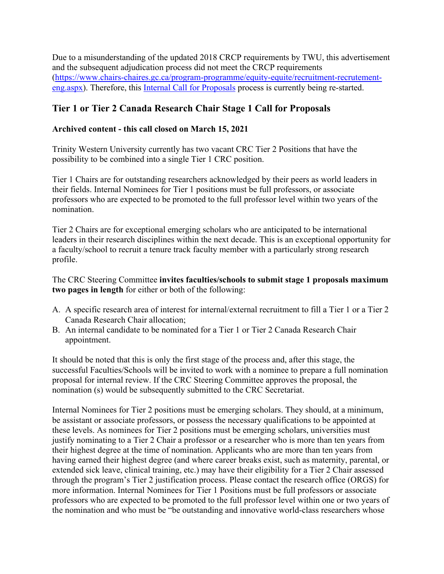Due to a misunderstanding of the updated 2018 CRCP requirements by TWU, this advertisement and the subsequent adjudication process did not meet the CRCP requirements [\(https://www.chairs-chaires.gc.ca/program-programme/equity-equite/recruitment-recrutement](https://www.chairs-chaires.gc.ca/program-programme/equity-equite/recruitment-recrutement-eng.aspx)[eng.aspx\)](https://www.chairs-chaires.gc.ca/program-programme/equity-equite/recruitment-recrutement-eng.aspx). Therefore, this [Internal Call for Proposals](https://www.twu.ca/research/canada-research-chairs/internal-postings-and-call-proposals) process is currently being re-started.

## **Tier 1 or Tier 2 Canada Research Chair Stage 1 Call for Proposals**

## **Archived content - this call closed on March 15, 2021**

Trinity Western University currently has two vacant CRC Tier 2 Positions that have the possibility to be combined into a single Tier 1 CRC position.

Tier 1 Chairs are for outstanding researchers acknowledged by their peers as world leaders in their fields. Internal Nominees for Tier 1 positions must be full professors, or associate professors who are expected to be promoted to the full professor level within two years of the nomination.

Tier 2 Chairs are for exceptional emerging scholars who are anticipated to be international leaders in their research disciplines within the next decade. This is an exceptional opportunity for a faculty/school to recruit a tenure track faculty member with a particularly strong research profile.

## The CRC Steering Committee **invites faculties/schools to submit stage 1 proposals maximum two pages in length** for either or both of the following:

- A. A specific research area of interest for internal/external recruitment to fill a Tier 1 or a Tier 2 Canada Research Chair allocation;
- B. An internal candidate to be nominated for a Tier 1 or Tier 2 Canada Research Chair appointment.

It should be noted that this is only the first stage of the process and, after this stage, the successful Faculties/Schools will be invited to work with a nominee to prepare a full nomination proposal for internal review. If the CRC Steering Committee approves the proposal, the nomination (s) would be subsequently submitted to the CRC Secretariat.

Internal Nominees for Tier 2 positions must be emerging scholars. They should, at a minimum, be assistant or associate professors, or possess the necessary qualifications to be appointed at these levels. As nominees for Tier 2 positions must be emerging scholars, universities must justify nominating to a Tier 2 Chair a professor or a researcher who is more than ten years from their highest degree at the time of nomination. Applicants who are more than ten years from having earned their highest degree (and where career breaks exist, such as maternity, parental, or extended sick leave, clinical training, etc.) may have their eligibility for a Tier 2 Chair assessed through the program's Tier 2 justification process. Please contact the research office (ORGS) for more information. Internal Nominees for Tier 1 Positions must be full professors or associate professors who are expected to be promoted to the full professor level within one or two years of the nomination and who must be "be outstanding and innovative world-class researchers whose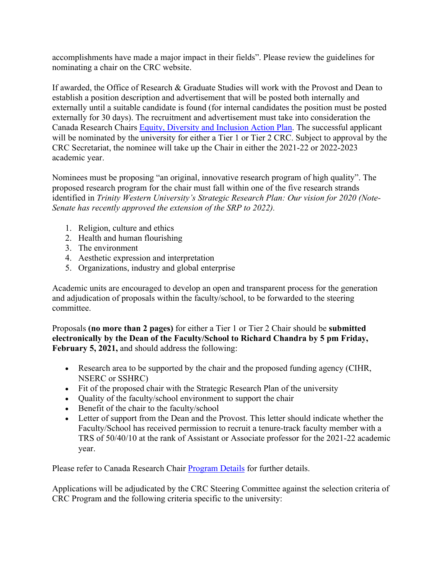accomplishments have made a major impact in their fields". Please review the guidelines for nominating a chair on the CRC website.

If awarded, the Office of Research & Graduate Studies will work with the Provost and Dean to establish a position description and advertisement that will be posted both internally and externally until a suitable candidate is found (for internal candidates the position must be posted externally for 30 days). The recruitment and advertisement must take into consideration the Canada Research Chairs [Equity, Diversity and Inclusion Action Plan.](https://www.chairs-chaires.gc.ca/program-programme/equity-equite/index-eng.aspx) The successful applicant will be nominated by the university for either a Tier 1 or Tier 2 CRC. Subject to approval by the CRC Secretariat, the nominee will take up the Chair in either the 2021-22 or 2022-2023 academic year.

Nominees must be proposing "an original, innovative research program of high quality". The proposed research program for the chair must fall within one of the five research strands identified in *Trinity Western University's Strategic Research Plan: Our vision for 2020 (Note-Senate has recently approved the extension of the SRP to 2022).*

- 1. Religion, culture and ethics
- 2. Health and human flourishing
- 3. The environment
- 4. Aesthetic expression and interpretation
- 5. Organizations, industry and global enterprise

Academic units are encouraged to develop an open and transparent process for the generation and adjudication of proposals within the faculty/school, to be forwarded to the steering committee.

Proposals **(no more than 2 pages)** for either a Tier 1 or Tier 2 Chair should be **submitted electronically by the Dean of the Faculty/School to Richard Chandra by 5 pm Friday, February 5, 2021,** and should address the following:

- Research area to be supported by the chair and the proposed funding agency (CIHR, NSERC or SSHRC)
- Fit of the proposed chair with the Strategic Research Plan of the university
- Quality of the faculty/school environment to support the chair
- Benefit of the chair to the faculty/school
- Letter of support from the Dean and the Provost. This letter should indicate whether the Faculty/School has received permission to recruit a tenure-track faculty member with a TRS of 50/40/10 at the rank of Assistant or Associate professor for the 2021-22 academic year.

Please refer to Canada Research Chair [Program Details](https://www.chairs-chaires.gc.ca/program-programme/index-eng.aspx) for further details.

Applications will be adjudicated by the CRC Steering Committee against the selection criteria of CRC Program and the following criteria specific to the university: